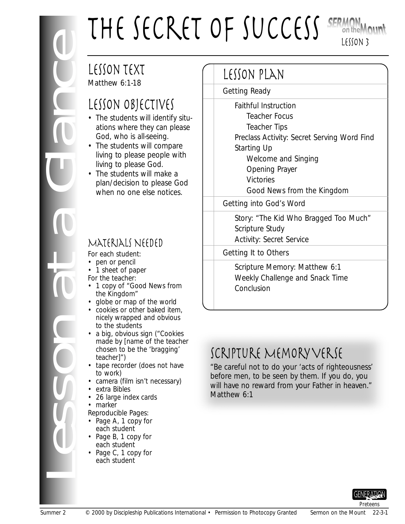# THE SECRET OF SUCCESS<sup>S</sup>

## Lesson Text

Matthew 6:1-18

## Lesson Objectives

- The students will identify situations where they can please God, who is all-seeing.
- The students will compare living to please people with living to please God.
- The students will make a plan/decision to please God when no one else notices.

### Materials Needed

*For each student:*

- pen or pencil
- 1 sheet of paper
- *For the teacher:*
- 1 copy of "Good News from the Kingdom"
- globe or map of the world
- cookies or other baked item, nicely wrapped and obvious to the students
- a big, obvious sign ("Cookies made by [name of the teacher chosen to be the 'bragging' teacher]")
- tape recorder (does not have to work)
- camera (film isn't necessary)
- extra Bibles
- 26 large index cards
- marker
- *Reproducible Pages:*
- Page A, 1 copy for each student
- Page B, 1 copy for each student
- Page C, 1 copy for each student

## Lesson Plan

*Getting Ready*

Faithful Instruction Teacher Focus Teacher Tips Preclass Activity: Secret Serving Word Find Starting Up Welcome and Singing Opening Prayer Victories

LESSON 3

Good News from the Kingdom

*Getting into God's Word*

Story: "The Kid Who Bragged Too Much" Scripture Study

Activity: Secret Service

*Getting It to Others*

Scripture Memory: Matthew 6:1 Weekly Challenge and Snack Time **Conclusion** 

## Scripture Memory Verse

"Be careful not to do your 'acts of righteousness' before men, to be seen by them. If you do, you will have no reward from your Father in heaven." Matthew 6:1

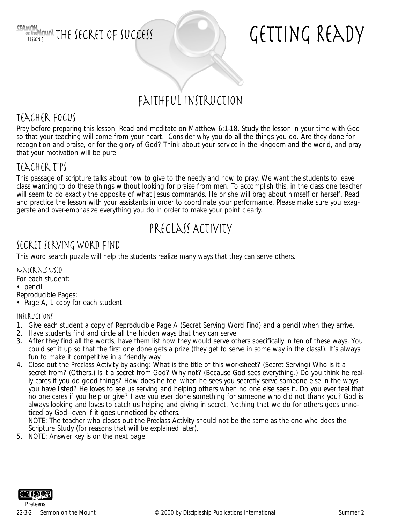

## Faithful Instruction

#### Teacher Focus

Pray before preparing this lesson. Read and meditate on Matthew 6:1-18. Study the lesson in your time with God so that your teaching will come from your heart. Consider why you do all the things you do. Are they done for recognition and praise, or for the glory of God? Think about your service in the kingdom and the world, and pray that your motivation will be pure.

#### Teacher Tips

This passage of scripture talks about how to give to the needy and how to pray. We want the students to leave class wanting to do these things without looking for praise from men. To accomplish this, in the class one teacher will seem to do exactly the opposite of what Jesus commands. He or she will brag about himself or herself. Read and practice the lesson with your assistants in order to coordinate your performance. Please make sure you exaggerate and over-emphasize everything you do in order to make your point clearly.

## PRECLASS ACTIVITY

#### Secret Serving Word Find

This word search puzzle will help the students realize many ways that they can serve others.

#### Materials Used

*For each student:*

- pencil
- *Reproducible Pages:*
- Page A, 1 copy for each student

#### Instructions

- 1. Give each student a copy of Reproducible Page A (Secret Serving Word Find) and a pencil when they arrive.
- 2. Have students find and circle all the hidden ways that they can serve.
- 3. After they find all the words, have them list how they would serve others specifically in ten of these ways. You could set it up so that the first one done gets a prize (they get to serve in some way in the class!). It's always fun to make it competitive in a friendly way.
- 4. Close out the Preclass Activity by asking: *What is the title of this worksheet?* (Secret Serving) *Who is it a secret from?* (Others.) *Is it a secret from God? Why not?* (Because God sees everything*.) Do you think he really cares if you do good things? How does he feel when he sees you secretly serve someone else in the ways you have listed? He loves to see us serving and helping others when no one else sees it. Do you ever feel that no one cares if you help or give? Have you ever done something for someone who did not thank you? God is always looking and loves to catch us helping and giving in secret. Nothing that we do for others goes unnoticed by God—even if it goes unnoticed by others.*

NOTE: The teacher who closes out the Preclass Activity should not be the same as the one who does the Scripture Study (for reasons that will be explained later).

5. NOTE: Answer key is on the next page.

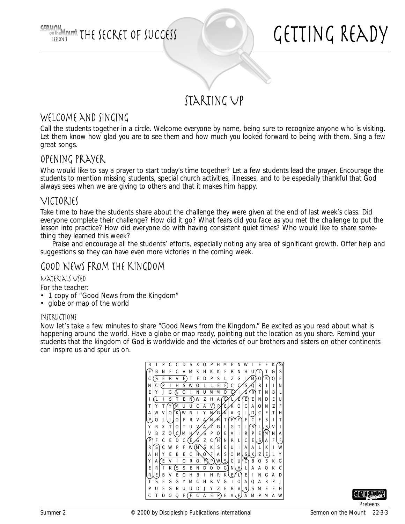

## Starting Up

#### WELCOME AND SINGING

Call the students together in a circle. Welcome everyone by name, being sure to recognize anyone who is visiting. Let them know how glad you are to see them and how much you looked forward to being with them. Sing a few great songs.

#### Opening Prayer

*Who would like to say a prayer to start today's time together?* Let a few students lead the prayer. Encourage the students to mention missing students, special church activities, illnesses, and to be especially thankful that God always sees when we are giving to others and that it makes him happy.

#### Victories

Take time to have the students share about the challenge they were given at the end of last week's class. *Did everyone complete their challenge? How did it go? What fears did you face as you met the challenge to put the lesson into practice? How did everyone do with having consistent quiet times? Who would like to share something they learned this week?*

Praise and encourage all the students' efforts, especially noting any area of significant growth. Offer help and suggestions so they can have even more victories in the coming week.

#### Good News from the Kingdom

#### Materials Used

*For the teacher:*

- 1 copy of "Good News from the Kingdom"
- globe or map of the world

#### Instructions

*Now let's take a few minutes to share "Good News from the Kingdom."* Be excited as you read about what is happening around the world. Have a globe or map ready, pointing out the location as you share. Remind your students that the kingdom of God is worldwide and the victories of our brothers and sisters on other continents can inspire us and spur us on.



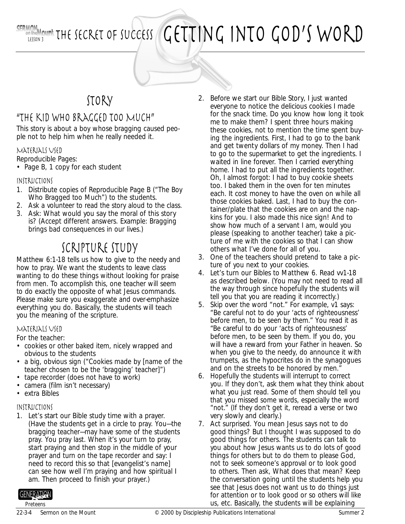## $L_{\textrm{\tiny{LHSON3}}}^{\textrm{\tiny{theMount}}}$  THE SECRET OF SUCCESS GETTING INTO GOD'S WORD

## STORY

#### "The Kid Who Bragged Too Much"

This story is about a boy whose bragging caused people not to help him when he really needed it.

#### Materials Used

*Reproducible Pages:*

• Page B, 1 copy for each student

#### Instructions

- 1. Distribute copies of Reproducible Page B ("The Boy Who Bragged too Much") to the students.
- 2. Ask a volunteer to read the story aloud to the class.
- 3. Ask: *What would you say the moral of this story is?* (Accept different answers. Example: Bragging brings bad consequences in our lives.)

## Scripture Study

Matthew 6:1-18 tells us how to give to the needy and how to pray. We want the students to leave class wanting to do these things without looking for praise from men. To accomplish this, one teacher will seem to do exactly the opposite of what Jesus commands. Please make sure you exaggerate and over-emphasize everything you do. Basically, the students will teach you the meaning of the scripture.

#### Materials Used

*For the teacher:*

- cookies or other baked item, nicely wrapped and obvious to the students
- a big, obvious sign ("Cookies made by [name of the teacher chosen to be the 'bragging' teacher]")
- tape recorder (does not have to work)
- camera (film isn't necessary)
- extra Bibles

#### Instructions

1. *Let's start our Bible study time with a prayer.* (Have the students get in a circle to pray. You—the bragging teacher—may have some of the students pray. You pray last. When it's your turn to pray, start praying and then stop in the middle of your prayer and turn on the tape recorder and say: *I need to record this so that [evangelist's name] can see how well I'm praying and how spiritual I am.* Then proceed to finish your prayer.)

#### GENERATION

Preteens

2. *Before we start our Bible Story, I just wanted everyone to notice the delicious cookies I made for the snack time. Do you know how long it took me to make them? I spent three hours making these cookies, not to mention the time spent buying the ingredients. First, I had to go to the bank and get twenty dollars of my money. Then I had to go to the supermarket to get the ingredients. I waited in line forever. Then I carried everything home. I had to put all the ingredients together. Oh, I almost forgot: I had to buy cookie sheets too. I baked them in the oven for ten minutes each. It cost money to have the oven on while all those cookies baked. Last, I had to buy the container/plate that the cookies are on and the napkins for you. I also made this nice sign! And to show how much of a servant I am, would you please (speaking to another teacher) take a picture of me with the cookies so that I can show others what I've done for all of you.*

- 3. One of the teachers should pretend to take a picture of you next to your cookies.
- 4. *Let's turn our Bibles to Matthew 6*. Read vv1-18 as described below. (You may not need to read all the way through since hopefully the students will tell you that you are reading it incorrectly.)
- 5. Skip over the word "not." For example, v1 says: "Be careful not to do your 'acts of righteousness' before men, to be seen by them." You read it as *"Be careful to do your 'acts of righteousness' before men, to be seen by them. If you do, you will have a reward from your Father in heaven. So when you give to the needy, do announce it with trumpets, as the hypocrites do in the synagogues and on the streets to be honored by men*.*"*
- 6. Hopefully the students will interrupt to correct you. If they don't, ask them what they think about what you just read. Some of them should tell you that you missed some words, especially the word "not." (If they don't get it, reread a verse or two very slowly and clearly.)
- 7. Act surprised. *You mean Jesus says not to do good things? But I thought I was supposed to do good things for others.* The students can talk to you about how Jesus wants us to do lots of good things for others but to do them to please God, not to seek someone's approval or to look good to others. Then ask, *What does that mean*? Keep the conversation going until the students help you see that Jesus does not want us to do things just for attention or to look good or so others will like us, etc. Basically, the students will be explaining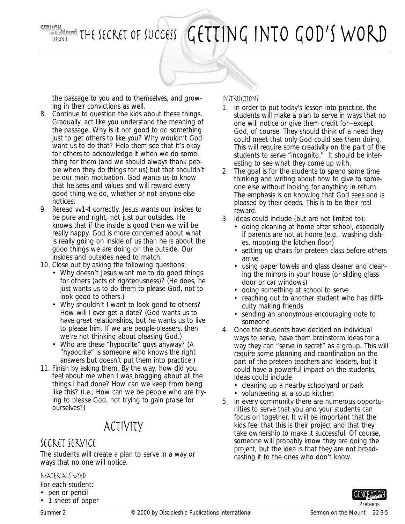## $L_{\textrm{\tiny{LHSON3}}}^{\textrm{\tiny{theMount}}}$  THE SECRET OF SUCCESS  $/$  GETTING INTO GOD'S WORD

the passage to you and to themselves, and growing in their convictions as well.

- 8. Continue to question the kids about these things. Gradually, act like you understand the meaning of the passage. *Why is it not good to do something just to get others to like you? Why wouldn't God want us to do that?* Help them see that it's okay for others to acknowledge it when we do something for them (and we should always thank people when they do things for us) but that shouldn't be our main motivation. God wants us to know that he sees and values and will reward every good thing we do, whether or not anyone else notices.
- 9. Reread vv1-4 correctly. *Jesus wants our insides to be pure and right, not just our outsides. He knows that if the inside is good then we will be really happy. God is more concerned about what is really going on inside of us than he is about the good things we are doing on the outside. Our insides and outsides need to match.*
- 10. Close out by asking the following questions:
	- *Why doesn't Jesus want me to do good things for others (acts of righteousness)?* (He does, he just wants us to do them to please God, not to look good to others.)
	- *Why shouldn't I want to look good to others? How will I ever get a date?* (God wants us to have great relationships, but he wants us to live to please him. If we are people-pleasers, then we're not thinking about pleasing God.)
	- *Who are these "hypocrite" guys anyway?* (A "hypocrite" is someone who knows the right answers but doesn't put them into practice.)
- 11. Finish by asking them, *By the way, how did you feel about me when I was bragging about all the things I had done? How can we keep from being like this?* (i.e., How can we be people who are trying to please God, not trying to gain praise for ourselves?)

## Activity

#### Secret Service

The students will create a plan to serve in a way or ways that no one will notice.

#### Materials Used

*For each student:*

- pen or pencil
- 1 sheet of paper

#### Instructions

- 1. In order to put today's lesson into practice, the students will make a plan to serve in ways that no one will notice or give them credit for—except God, of course. They should think of a need they could meet that only God could see them doing. This will require some creativity on the part of the students to serve "incognito." It should be interesting to see what they come up with.
- 2. The goal is for the students to spend some time thinking and writing about how to give to someone else without looking for anything in return. The emphasis is on knowing that God sees and is pleased by their deeds. This is to be their real reward.
- 3. Ideas could include (but are not limited to):
	- doing cleaning at home after school, especially if parents are not at home (e.g., washing dishes, mopping the kitchen floor)
	- setting up chairs for preteen class before others arrive
	- using paper towels and glass cleaner and cleaning the mirrors in your house (or sliding glass door or car windows)
	- doing something at school to serve
	- reaching out to another student who has difficulty making friends
	- sending an anonymous encouraging note to someone
- 4. Once the students have decided on individual ways to serve, have them brainstorm ideas for a way they can "serve in secret" as a group. This will require some planning and coordination on the part of the preteen teachers and leaders, but it could have a powerful impact on the students. Ideas could include
	- cleaning up a nearby schoolyard or park
	- volunteering at a soup kitchen
- 5. In every community there are numerous opportunities to serve that you and your students can focus on together. It will be important that the kids feel that this is *their* project and that they take ownership to make it successful. Of course, someone will probably know they are doing the project, but the idea is that they are not broadcasting it to the ones who don't know.

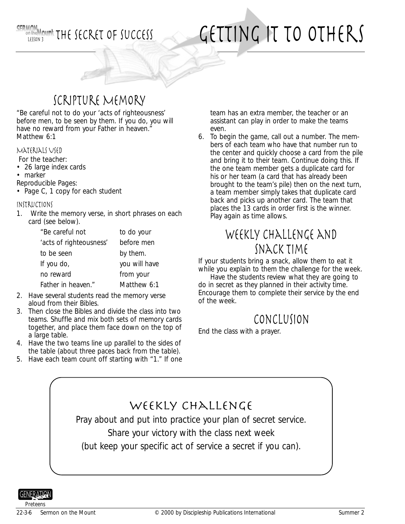

## GETTING IT TO OTHERS

## Scripture Memory

"Be careful not to do your 'acts of righteousness' before men, to be seen by them. If you do, you will have no reward from your Father in heaven." Matthew 6:1

#### Materials Used

*For the teacher:*

- 26 large index cards
- marker
- *Reproducible Pages:*
- Page C, 1 copy for each student

#### Instructions

1. Write the memory verse, in short phrases on each card (see below).

| "Be careful not         | to do your    |  |  |  |  |  |
|-------------------------|---------------|--|--|--|--|--|
| 'acts of righteousness' | before men    |  |  |  |  |  |
| to be seen              | by them.      |  |  |  |  |  |
| If you do,              | you will have |  |  |  |  |  |
| no reward               | from your     |  |  |  |  |  |
| Father in heaven."      | Matthew 6:1   |  |  |  |  |  |

- 2. Have several students read the memory verse aloud from their Bibles.
- 3. Then close the Bibles and divide the class into two teams. Shuffle and mix both sets of memory cards together, and place them face down on the top of a large table.
- 4. Have the two teams line up parallel to the sides of the table (about three paces back from the table).
- 5. Have each team count off starting with "1." If one

team has an extra member, the teacher or an assistant can play in order to make the teams even.

6. To begin the game, call out a number. The members of each team who have that number run to the center and quickly choose a card from the pile and bring it to their team. Continue doing this. If the one team member gets a duplicate card for his or her team (a card that has already been brought to the team's pile) then on the next turn, a team member simply takes that duplicate card back and picks up another card. The team that places the 13 cards in order first is the winner. Play again as time allows.

## WEEKLY CHALLENGE AND SNACK TIME

If your students bring a snack, allow them to eat it while you explain to them the challenge for the week.

Have the students review what they are going to do in secret as they planned in their activity time. Encourage them to complete their service by the end of the week.

## Conclusion

End the class with a prayer.

## WEEKLY CHALLENGE

Pray about and put into practice your plan of secret service.

Share your victory with the class next week

(but keep your specific act of service a secret if you can).

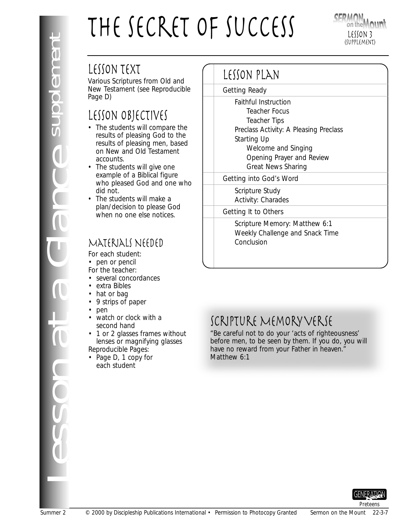## The secret of success

yunuy  $LffON3$ (supplement)

## Lesson Text

Various Scriptures from Old and New Testament (see Reproducible Page D)

## Lesson Objectives

- The students will compare the results of pleasing God to the results of pleasing men, based on New and Old Testament accounts.
- The students will give one example of a Biblical figure who pleased God and one who did not.
- The students will make a plan/decision to please God when no one else notices.

### Materials Needed

*For each student:* • pen or pencil *For the teacher:*

- several concordances
- extra Bibles
- hat or bag
- 9 strips of paper
- pen
- watch or clock with a second hand
- 1 or 2 glasses frames without lenses or magnifying glasses *Reproducible Pages:*
- Page D, 1 copy for each student

## Lesson Plan

*Getting Ready*

Faithful Instruction Teacher Focus Teacher Tips Preclass Activity: A Pleasing Preclass Starting Up Welcome and Singing Opening Prayer and Review Great News Sharing

*Getting into God's Word*

Scripture Study Activity: Charades

*Getting It to Others*

Scripture Memory: Matthew 6:1 Weekly Challenge and Snack Time Conclusion

## Scripture Memory Verse

"Be careful not to do your 'acts of righteousness' before men, to be seen by them. If you do, you will have no reward from your Father in heaven." Matthew 6:1

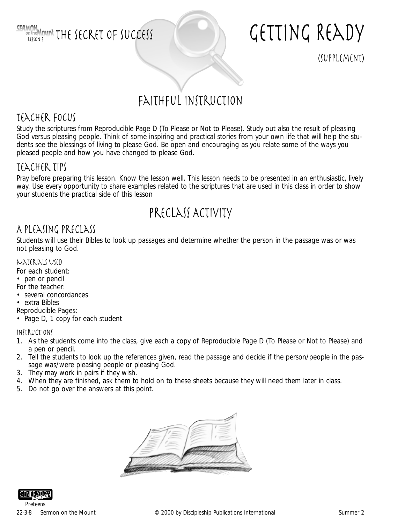

(supplement)

## FAITHFUL INSTRUCTION

#### Teacher Focus

Study the scriptures from Reproducible Page D (To Please or Not to Please). Study out also the result of pleasing God versus pleasing people. Think of some inspiring and practical stories from your own life that will help the students see the blessings of living to please God. Be open and encouraging as you relate some of the ways you pleased people and how you have changed to please God.

#### Teacher Tips

Pray before preparing this lesson. Know the lesson well. This lesson needs to be presented in an enthusiastic, lively way. Use every opportunity to share examples related to the scriptures that are used in this class in order to show your students the practical side of this lesson

## PRECLASS ACTIVITY

### A Pleasing Preclass

Students will use their Bibles to look up passages and determine whether the person in the passage was or was not pleasing to God.

#### Materials Used

- *For each student:*
- pen or pencil
- *For the teacher:*
- several concordances
- extra Bibles
- *Reproducible Pages:*
- Page D, 1 copy for each student

#### Instructions

- 1. As the students come into the class, give each a copy of Reproducible Page D (To Please or Not to Please) and a pen or pencil.
- 2. Tell the students to look up the references given, read the passage and decide if the person/people in the passage was/were pleasing people or pleasing God.
- 3. They may work in pairs if they wish.
- 4. When they are finished, ask them to hold on to these sheets because they will need them later in class.
- 5. Do not go over the answers at this point.



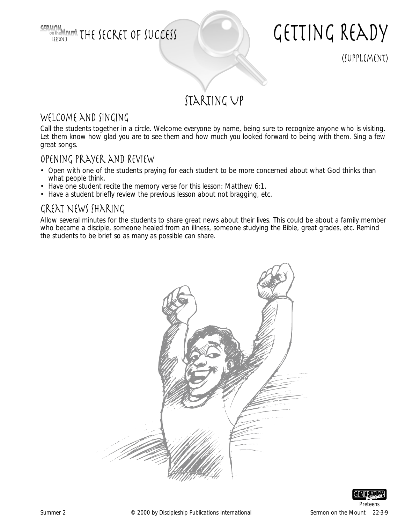

(supplement)

STARTING UP

#### WELCOME AND SINGING

Call the students together in a circle. Welcome everyone by name, being sure to recognize anyone who is visiting. Let them know how glad you are to see them and how much you looked forward to being with them. Sing a few great songs.

#### Opening Prayer and Review

- Open with one of the students praying for each student to be more concerned about what God thinks than what people think.
- Have one student recite the memory verse for this lesson: Matthew 6:1.
- Have a student briefly review the previous lesson about not bragging, etc.

#### Great News Sharing

Allow several minutes for the students to share great news about their lives. This could be about a family member who became a disciple, someone healed from an illness, someone studying the Bible, great grades, etc. Remind the students to be brief so as many as possible can share.



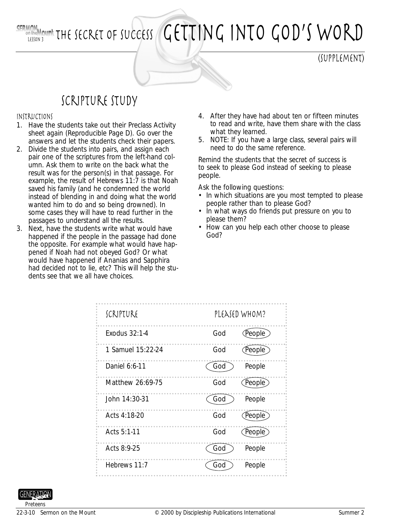Lesson 3 THE SECRET OF SUCCESS GETTING INTO GOD'S WORD

#### (supplement)

## SCRIPTURE STUDY

#### Instructions

- 1. Have the students take out their Preclass Activity sheet again (Reproducible Page D). Go over the answers and let the students check their papers.
- 2. Divide the students into pairs, and assign each pair one of the scriptures from the left-hand column. Ask them to write on the back what the result was for the person(s) in that passage. For example, the result of Hebrews 11:7 is that Noah saved his family (and he condemned the world instead of blending in and doing what the world wanted him to do and so being drowned). In some cases they will have to read further in the passages to understand all the results.
- 3. Next, have the students write what would have happened if the people in the passage had done the opposite. For example what would have happened if Noah had not obeyed God? Or what would have happened if Ananias and Sapphira had decided not to lie, etc? This will help the students see that we all have choices.
- 4. After they have had about ten or fifteen minutes to read and write, have them share with the class what they learned.
- 5. NOTE: If you have a large class, several pairs will need to do the same reference.

Remind the students that the secret of success is to seek to please God instead of seeking to please people.

Ask the following questions:

- *In which situations are you most tempted to please people rather than to please God?*
- *In what ways do friends put pressure on you to please them?*
- *How can you help each other choose to please God?*

| SCRIPTURE         | PLEASED WHOM?   |  |  |  |  |  |  |  |
|-------------------|-----------------|--|--|--|--|--|--|--|
| Exodus $32:1-4$   | (People)<br>God |  |  |  |  |  |  |  |
| 1 Samuel 15:22-24 | (People)<br>God |  |  |  |  |  |  |  |
| Daniel 6:6-11     | God<br>People   |  |  |  |  |  |  |  |
| Matthew 26:69-75  | (People)<br>God |  |  |  |  |  |  |  |
| John 14:30-31     | God<br>People   |  |  |  |  |  |  |  |
| Acts 4:18-20      | (People)<br>God |  |  |  |  |  |  |  |
| Acts 5:1-11       | (People)<br>God |  |  |  |  |  |  |  |
| Acts 8:9-25       | God<br>People   |  |  |  |  |  |  |  |
| Hebrews 11:7      | God<br>People   |  |  |  |  |  |  |  |

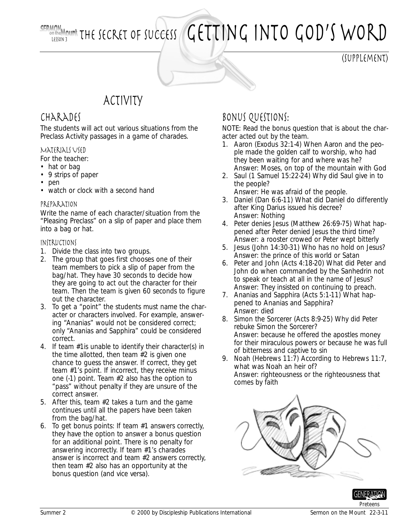$L_{\textrm{\tiny{LHSON3}}}^{\textrm{\tiny{LHSOMOM1}}}$  THE SECRET OF SUCCESS GETTING INTO GOD'S WORD

(supplement)

## Activity

#### CHARADES

The students will act out various situations from the Preclass Activity passages in a game of charades.

#### Materials Used

*For the teacher:*

- hat or bag
- 9 strips of paper
- pen
- watch or clock with a second hand

#### Preparation

Write the name of each character/situation from the "Pleasing Preclass" on a slip of paper and place them into a bag or hat.

#### Instructions

- 1. Divide the class into two groups.
- 2. The group that goes first chooses one of their team members to pick a slip of paper from the bag/hat. They have 30 seconds to decide how they are going to act out the character for their team. Then the team is given 60 seconds to figure out the character.
- 3. To get a "point" the students must name the character or characters involved. For example, answering "Ananias" would not be considered correct; only "Ananias and Sapphira" could be considered correct.
- 4. If team #1is unable to identify their character(s) in the time allotted, then team #2 is given one chance to guess the answer. If correct, they get team #1's point. If incorrect, they receive minus one (-1) point. Team #2 also has the option to "pass" without penalty if they are unsure of the correct answer.
- 5. After this, team #2 takes a turn and the game continues until all the papers have been taken from the bag/hat.
- 6. To get bonus points: If team #1 answers correctly, they have the option to answer a bonus question for an additional point. There is no penalty for answering incorrectly. If team #1's charades answer is incorrect and team #2 answers correctly, then team #2 also has an opportunity at the bonus question (and vice versa).

### Bonus Questions:

NOTE: Read the bonus question that is about the character acted out by the team.

- 1. Aaron (Exodus 32:1-4) *When Aaron and the people made the golden calf to worship, who had they been waiting for and where was he?* Answer: Moses, on top of the mountain with God
- 2. Saul (1 Samuel 15:22-24) *Why did Saul give in to the people?* Answer*:* He was afraid of the people.
- 3. Daniel (Dan 6:6-11) *What did Daniel do differently after King Darius issued his decree?* Answer*:* Nothing
- 4. Peter denies Jesus (Matthew 26:69-75) *What happened after Peter denied Jesus the third time?* Answer*:* a rooster crowed or Peter wept bitterly
- 5. Jesus (John 14:30-31) *Who has no hold on Jesus?* Answer: the prince of this world or Satan
- 6. Peter and John (Acts 4:18-20) *What did Peter and John do when commanded by the Sanhedrin not to speak or teach at all in the name of Jesus?* Answer*:* They insisted on continuing to preach.
- 7. Ananias and Sapphira (Acts 5:1-11) *What happened to Ananias and Sapphira?* Answer: died
- 8. Simon the Sorcerer (Acts 8:9-25) Why did Peter rebuke Simon the Sorcerer? Answer*:* because he offered the apostles money for their miraculous powers or because he was full of bitterness and captive to sin
- 9. Noah (Hebrews 11:7) *According to Hebrews 11:7, what was Noah an heir of?* Answer*:* righteousness or the righteousness that comes by faith



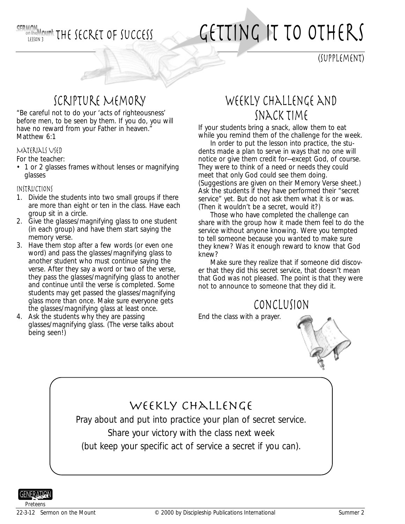SERMON<br>Contribution THE SECRET OF SUCCESS

## GETTING IT TO OTHERS

(supplement)

## Scripture Memory

"Be careful not to do your 'acts of righteousness' before men, to be seen by them. If you do, you will have no reward from your Father in heaven." Matthew 6:1

#### Materials Used

*For the teacher:*

• 1 or 2 glasses frames without lenses or magnifying glasses

#### Instructions

- 1. Divide the students into two small groups if there are more than eight or ten in the class. Have each group sit in a circle.
- 2. Give the glasses/magnifying glass to one student (in each group) and have them start saying the memory verse.
- 3. Have them stop after a few words (or even one word) and pass the glasses/magnifying glass to another student who must continue saying the verse. After they say a word or two of the verse, they pass the glasses/magnifying glass to another and continue until the verse is completed. Some students may get passed the glasses/magnifying glass more than once. Make sure everyone gets the glasses/magnifying glass at least once.
- 4. Ask the students why they are passing glasses/magnifying glass. (The verse talks about being seen!)

## WEEKLY CHALLENGE AND Snack Time

If your students bring a snack, allow them to eat while you remind them of the challenge for the week.

In order to put the lesson into practice, the students made a plan to serve in ways that no one will notice or give them credit for—except God, of course. They were to think of a need or needs they could meet that only God could see them doing. (Suggestions are given on their Memory Verse sheet.) Ask the students if they have performed their "secret service" yet. But do not ask them what it is or was. (Then it wouldn't be a secret, would it?)

Those who have completed the challenge can share with the group how it made them feel to do the service without anyone knowing. *Were you tempted to tell someone because you wanted to make sure they knew? Was it enough reward to know that God knew?*

Make sure they realize that if someone did discover that they did this secret service, that doesn't mean that God was not pleased. The point is that they were not to announce to someone that they did it.

### Conclusion

End the class with a prayer.



### WEEKLY CHALLENGE

Pray about and put into practice your plan of secret service.

Share your victory with the class next week

(but keep your specific act of service a secret if you can).

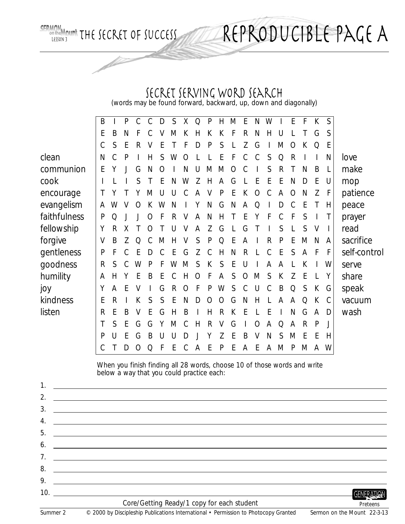SERMON OUT THE SECRET OF SUCCESS

### Secret Serving Word Search

Reproducible page A

(words may be found forward, backward, up, down and diagonally)

|              | B |   | P |   |   | D | S   | Χ   | Q  | $\mathsf{P}$ | Н | M | E | Ν | W |                  | Е            | F | К            | S   |              |
|--------------|---|---|---|---|---|---|-----|-----|----|--------------|---|---|---|---|---|------------------|--------------|---|--------------|-----|--------------|
|              | Ε | B | N |   |   |   | M   | К   | Н  | К            | К | F | R | N | Н |                  |              |   | G            | S   |              |
|              | С | S | E | R |   |   |     |     | I) | P            | S |   |   | G |   | Μ                | $\bigcirc$   | К | Q            | E   |              |
| clean        | N |   |   |   |   |   | W   |     |    |              |   |   |   |   |   | Q                | R            |   |              | N   | love         |
| communion    | Ε |   |   | G | N | ∩ |     | N   | U  | M            | M | O |   |   | S | R                |              | Ν | B            |     | make         |
| cook         |   |   |   |   |   |   | Ν   | W   | 7  | Н            | Α | G |   |   |   | F                | Ν            | D | Е            | U   | mop          |
| encourage    |   |   |   |   |   |   |     |     |    |              | Ρ | F | Κ |   |   |                  | O            | Ν |              | F   | patience     |
| evangelism   | A | W |   | Ω | ĸ | W | N   |     |    | N            | G | N |   |   |   |                  |              |   |              | H   | peace        |
| faithfulness | P | Q |   |   | O | F | R   | V   | A  | N            | Н |   | E |   |   |                  | F            | S |              |     | prayer       |
| fellowship   | Υ | R | х |   |   |   | l I | V   | Α  | 7            | G |   | G |   |   | S                |              | S | V            |     | read         |
| forgive      | V | B |   |   |   | M | Н   | V   | S  | P            | Q | E | Α |   | R | P                | E            | M | <sup>N</sup> | A   | sacrifice    |
| gentleness   | P | F |   |   |   |   |     | G   |    |              | H | N | R |   |   |                  | S            | Α |              | F   | self-control |
| goodness     | R | S |   | W |   | F | W   | М   | S  | К            | S | F |   |   |   |                  |              | К |              | W   | serve        |
| humility     | Α | Н |   |   | R |   |     | Н   |    |              | Α | S | Ω | M |   | Κ                |              |   |              | Υ   | share        |
| joy          | Υ | Α |   |   |   | G | R   | ( ) |    | P            | W | S |   |   |   | B                | Q            | S | К            | G   | speak        |
| kindness     | Ε | R |   | К | S | S | E   | Ν   |    | Ω            | Ο | G | N | Н |   | А                | Α            | Ω | К            | C   | vacuum       |
| listen       | R | Ε | B | V | Е | G | Н   | B   |    | Η            | R | Κ | Е |   |   |                  | Ν            | G | A            | D   | wash         |
|              |   | S |   | G | G |   | M   | С   | Н  | R            | V | G |   | Ο | А | $\left( \right)$ | Α            | R | P            |     |              |
|              | Ρ |   |   |   |   |   |     |     |    |              |   | E | B | V | N | S                |              |   | Е            | H   |              |
|              | С |   | D |   | Q | F | E   |     | Α  | Ε            | P | Ε | A | Ε | A | M                | $\mathsf{P}$ | M |              | A W |              |

When you finish finding all 28 words, choose 10 of those words and write below a way that you could practice each:

| 2.<br>3.<br><u> 1989 - Johann Stein, mars an deus an deus Amerikaansk kommunister (d. 1989)</u><br>$\overline{4}$ .<br><u> 1989 - Jan Sterlinger, skriuwer fan it ferstjer fan de fan it ferstjer fan it ferstjer fan it ferstjer fan i</u><br>5.<br>6.<br><u> 1980 - Johann Stein, marwolaethau a bhann an t-Amhain an t-Amhain an t-Amhain an t-Amhain an t-Amhain an t-A</u><br>7.<br>8.<br>9.<br><u> 1980 - Andrea Station Barbara, amerikan personal (h. 1980).</u><br>10.<br>Core/Getting Ready/1 copy for each student | © 2000 by Discipleship Publications International • Permission to Photocopy Granted<br>Sermon on the Mount 22-3-13 | Summer 2 |
|-------------------------------------------------------------------------------------------------------------------------------------------------------------------------------------------------------------------------------------------------------------------------------------------------------------------------------------------------------------------------------------------------------------------------------------------------------------------------------------------------------------------------------|--------------------------------------------------------------------------------------------------------------------|----------|
|                                                                                                                                                                                                                                                                                                                                                                                                                                                                                                                               | <b>Preteens</b>                                                                                                    |          |
|                                                                                                                                                                                                                                                                                                                                                                                                                                                                                                                               |                                                                                                                    |          |
|                                                                                                                                                                                                                                                                                                                                                                                                                                                                                                                               |                                                                                                                    |          |
|                                                                                                                                                                                                                                                                                                                                                                                                                                                                                                                               |                                                                                                                    |          |
|                                                                                                                                                                                                                                                                                                                                                                                                                                                                                                                               |                                                                                                                    |          |
|                                                                                                                                                                                                                                                                                                                                                                                                                                                                                                                               |                                                                                                                    |          |
|                                                                                                                                                                                                                                                                                                                                                                                                                                                                                                                               |                                                                                                                    |          |
|                                                                                                                                                                                                                                                                                                                                                                                                                                                                                                                               |                                                                                                                    |          |
|                                                                                                                                                                                                                                                                                                                                                                                                                                                                                                                               |                                                                                                                    |          |
|                                                                                                                                                                                                                                                                                                                                                                                                                                                                                                                               |                                                                                                                    |          |
|                                                                                                                                                                                                                                                                                                                                                                                                                                                                                                                               |                                                                                                                    |          |
|                                                                                                                                                                                                                                                                                                                                                                                                                                                                                                                               |                                                                                                                    |          |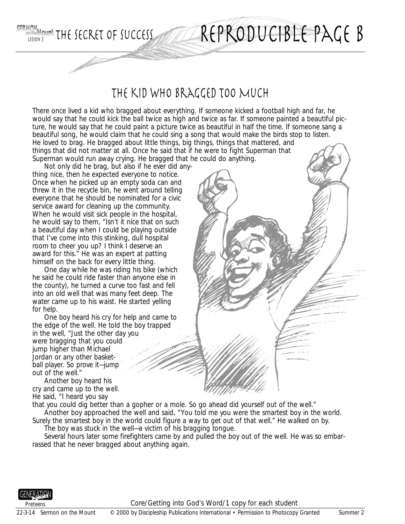ERMON NOUM THE SECRET OF SUCCESS

### The Kid Who Bragged Too Much

There once lived a kid who bragged about everything. If someone kicked a football high and far, he would say that he could kick the ball twice as high and twice as far. If someone painted a beautiful picture, he would say that he could paint a picture twice as beautiful in half the time. If someone sang a beautiful song, he would claim that he could sing a song that would make the birds stop to listen. He loved to brag. He bragged about little things, big things, things that mattered, and things that did not matter at all. Once he said that if he were to fight Superman that Superman would run away crying. He bragged that he could do anything.

Not only did he brag, but also if he ever did anything nice, then he expected everyone to notice. Once when he picked up an empty soda can and threw it in the recycle bin, he went around telling everyone that he should be nominated for a civic service award for cleaning up the community. When he would visit sick people in the hospital, he would say to them, "Isn't it nice that on such a beautiful day when I could be playing outside that I've come into this stinking, dull hospital room to cheer you up? I think I deserve an award for this." He was an expert at patting himself on the back for every little thing.

One day while he was riding his bike (which he said he could ride faster than anyone else in the county), he turned a curve too fast and fell into an old well that was many feet deep. The water came up to his waist. He started yelling for help.

One boy heard his cry for help and came to the edge of the well. He told the boy trapped in the well, "Just the other day you were bragging that you could jump higher than Michael Jordan or any other basketball player. So prove it—jump out of the well."

Another boy heard his cry and came up to the well. He said, "I heard you say

that you could dig better than a gopher or a mole. So go ahead did yourself out of the well." Another boy approached the well and said, "You told me you were the smartest boy in the world. Surely the smartest boy in the world could figure a way to get out of that well." He walked on by.

The boy was stuck in the well—a victim of his bragging tongue.

Several hours later some firefighters came by and pulled the boy out of the well. He was so embarrassed that he never bragged about anything again.



Reproducible page B



**Preteens**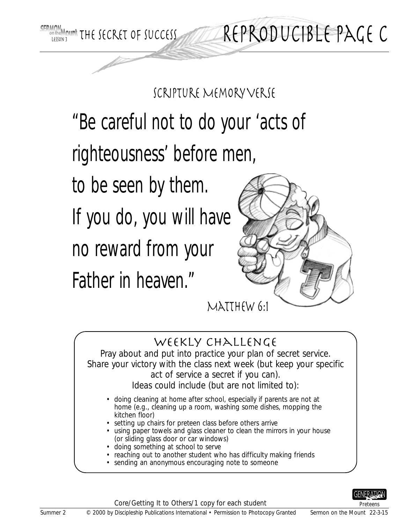SERMON OUT THE SECRET OF SUCCESS

## Scripture Memory Verse

"Be careful not to do your 'acts of righteousness' before men,

to be seen by them.

If you do, you will have

no reward from your

Father in heaven."



Reproducible page C

## WEEKLY CHALLENGE

Pray about and put into practice your plan of secret service. Share your victory with the class next week (but keep your specific act of service a secret if you can). Ideas could include (but are not limited to):

- doing cleaning at home after school, especially if parents are not at home (e.g., cleaning up a room, washing some dishes, mopping the kitchen floor)
- setting up chairs for preteen class before others arrive
- using paper towels and glass cleaner to clean the mirrors in your house (or sliding glass door or car windows)
- doing something at school to serve
- reaching out to another student who has difficulty making friends
- sending an anonymous encouraging note to someone



Core/Getting It to Others/1 copy for each student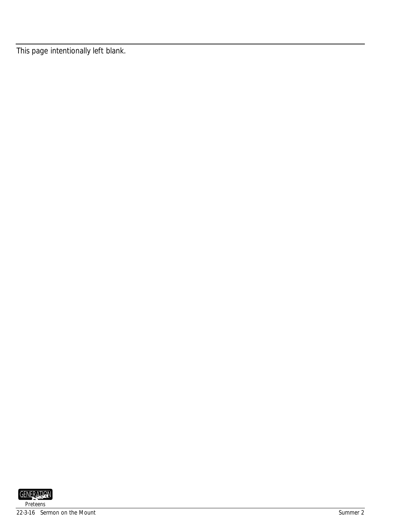This page intentionally left blank.